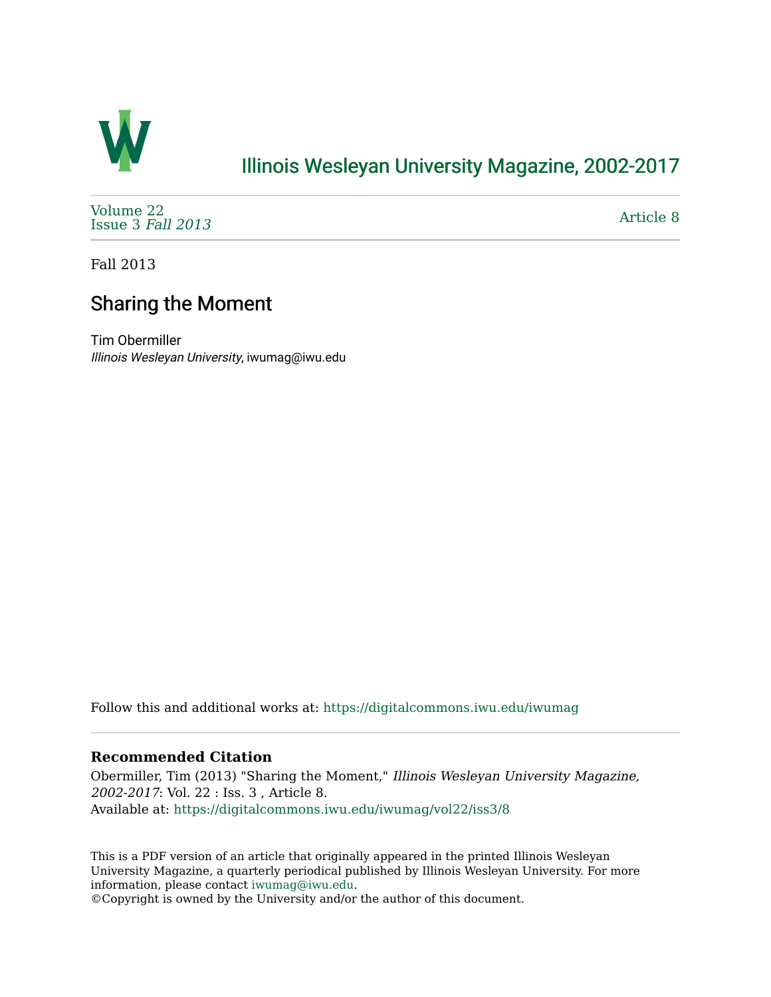

# [Illinois Wesleyan University Magazine, 2002-2017](https://digitalcommons.iwu.edu/iwumag)

[Volume 22](https://digitalcommons.iwu.edu/iwumag/vol22)  [Issue 3](https://digitalcommons.iwu.edu/iwumag/vol22/iss3) Fall 2013

[Article 8](https://digitalcommons.iwu.edu/iwumag/vol22/iss3/8) 

Fall 2013

# Sharing the Moment

Tim Obermiller Illinois Wesleyan University, iwumag@iwu.edu

Follow this and additional works at: [https://digitalcommons.iwu.edu/iwumag](https://digitalcommons.iwu.edu/iwumag?utm_source=digitalcommons.iwu.edu%2Fiwumag%2Fvol22%2Fiss3%2F8&utm_medium=PDF&utm_campaign=PDFCoverPages) 

# **Recommended Citation**

Obermiller, Tim (2013) "Sharing the Moment," Illinois Wesleyan University Magazine, 2002-2017: Vol. 22 : Iss. 3 , Article 8. Available at: [https://digitalcommons.iwu.edu/iwumag/vol22/iss3/8](https://digitalcommons.iwu.edu/iwumag/vol22/iss3/8?utm_source=digitalcommons.iwu.edu%2Fiwumag%2Fvol22%2Fiss3%2F8&utm_medium=PDF&utm_campaign=PDFCoverPages)

This is a PDF version of an article that originally appeared in the printed Illinois Wesleyan University Magazine, a quarterly periodical published by Illinois Wesleyan University. For more information, please contact [iwumag@iwu.edu](mailto:iwumag@iwu.edu).

©Copyright is owned by the University and/or the author of this document.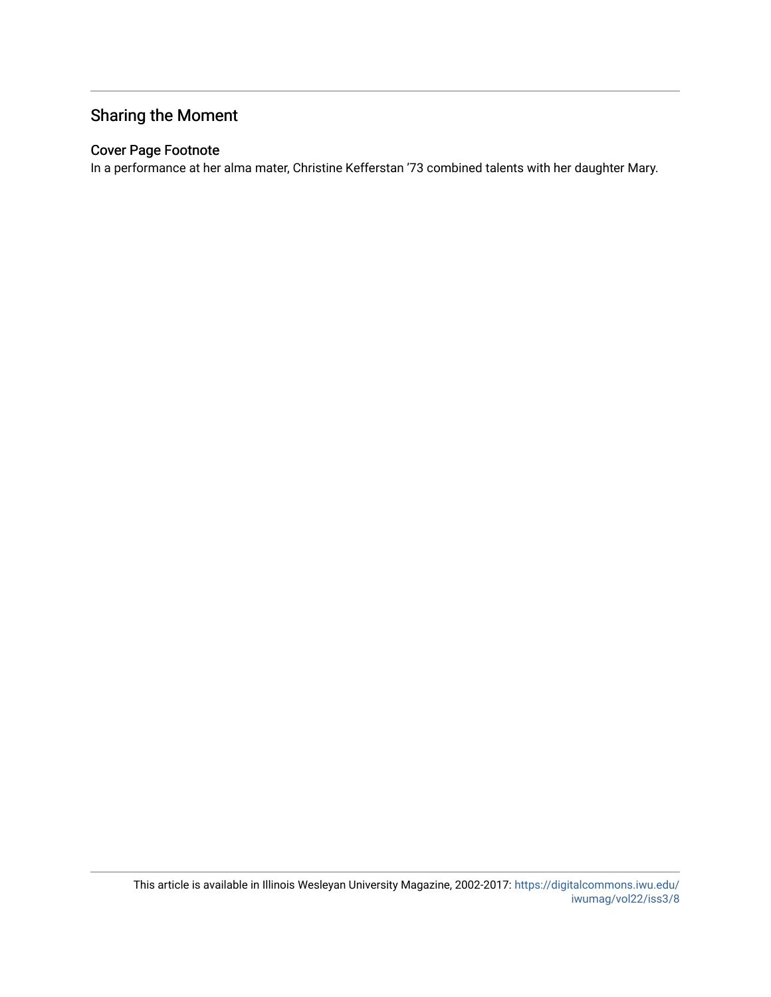# Sharing the Moment

# Cover Page Footnote

In a performance at her alma mater, Christine Kefferstan '73 combined talents with her daughter Mary.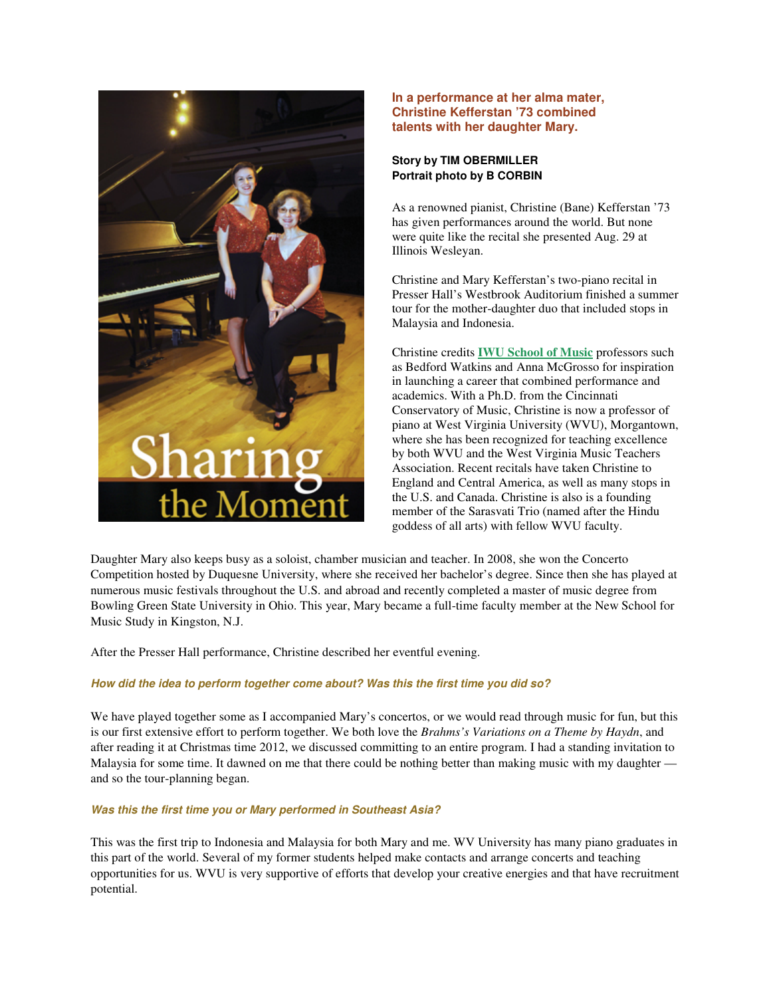

## **In a performance at her alma mater, Christine Kefferstan '73 combined talents with her daughter Mary.**

# **Story by TIM OBERMILLER Portrait photo by B CORBIN**

As a renowned pianist, Christine (Bane) Kefferstan '73 has given performances around the world. But none were quite like the recital she presented Aug. 29 at Illinois Wesleyan.

Christine and Mary Kefferstan's two-piano recital in Presser Hall's Westbrook Auditorium finished a summer tour for the mother-daughter duo that included stops in Malaysia and Indonesia.

Christine credits **IWU School of Music** professors such as Bedford Watkins and Anna McGrosso for inspiration in launching a career that combined performance and academics. With a Ph.D. from the Cincinnati Conservatory of Music, Christine is now a professor of piano at West Virginia University (WVU), Morgantown, where she has been recognized for teaching excellence by both WVU and the West Virginia Music Teachers Association. Recent recitals have taken Christine to England and Central America, as well as many stops in the U.S. and Canada. Christine is also is a founding member of the Sarasvati Trio (named after the Hindu goddess of all arts) with fellow WVU faculty.

Daughter Mary also keeps busy as a soloist, chamber musician and teacher. In 2008, she won the Concerto Competition hosted by Duquesne University, where she received her bachelor's degree. Since then she has played at numerous music festivals throughout the U.S. and abroad and recently completed a master of music degree from Bowling Green State University in Ohio. This year, Mary became a full-time faculty member at the New School for Music Study in Kingston, N.J.

After the Presser Hall performance, Christine described her eventful evening.

### **How did the idea to perform together come about? Was this the first time you did so?**

We have played together some as I accompanied Mary's concertos, or we would read through music for fun, but this is our first extensive effort to perform together. We both love the *Brahms's Variations on a Theme by Haydn*, and after reading it at Christmas time 2012, we discussed committing to an entire program. I had a standing invitation to Malaysia for some time. It dawned on me that there could be nothing better than making music with my daughter and so the tour-planning began.

#### **Was this the first time you or Mary performed in Southeast Asia?**

This was the first trip to Indonesia and Malaysia for both Mary and me. WV University has many piano graduates in this part of the world. Several of my former students helped make contacts and arrange concerts and teaching opportunities for us. WVU is very supportive of efforts that develop your creative energies and that have recruitment potential.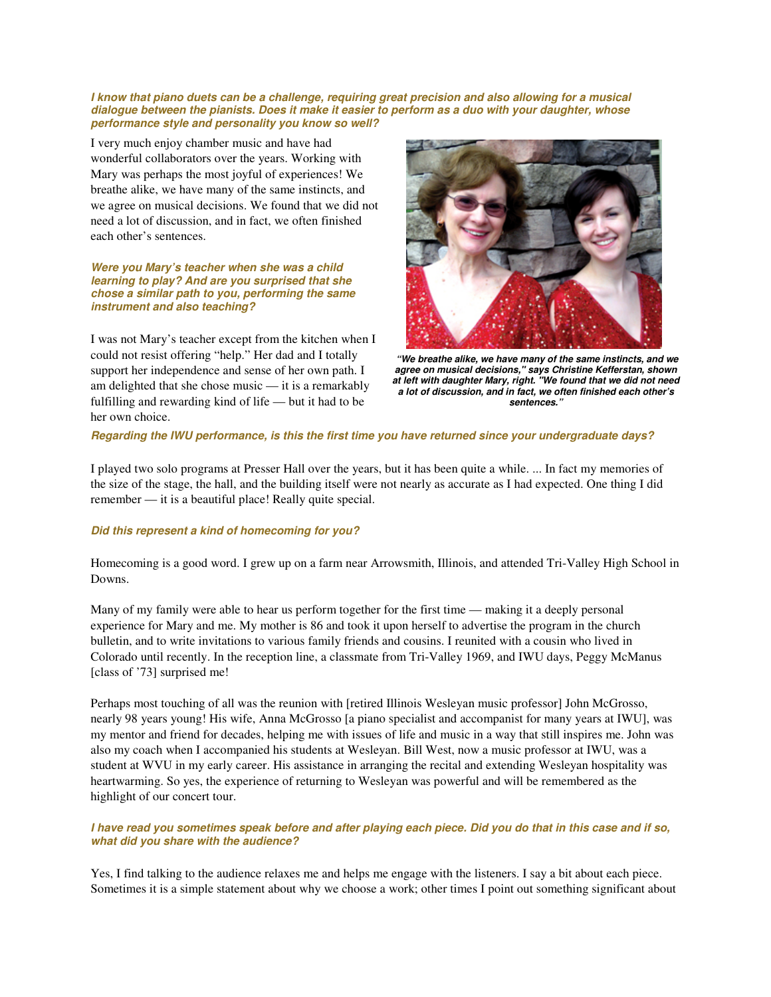#### **I know that piano duets can be a challenge, requiring great precision and also allowing for a musical dialogue between the pianists. Does it make it easier to perform as a duo with your daughter, whose performance style and personality you know so well?**

I very much enjoy chamber music and have had wonderful collaborators over the years. Working with Mary was perhaps the most joyful of experiences! We breathe alike, we have many of the same instincts, and we agree on musical decisions. We found that we did not need a lot of discussion, and in fact, we often finished each other's sentences.

#### **Were you Mary's teacher when she was a child learning to play? And are you surprised that she chose a similar path to you, performing the same instrument and also teaching?**

I was not Mary's teacher except from the kitchen when I could not resist offering "help." Her dad and I totally support her independence and sense of her own path. I am delighted that she chose music — it is a remarkably fulfilling and rewarding kind of life — but it had to be her own choice.



 **"We breathe alike, we have many of the same instincts, and we agree on musical decisions," says Christine Kefferstan, shown at left with daughter Mary, right. "We found that we did not need a lot of discussion, and in fact, we often finished each other's sentences."**

### **Regarding the IWU performance, is this the first time you have returned since your undergraduate days?**

I played two solo programs at Presser Hall over the years, but it has been quite a while. ... In fact my memories of the size of the stage, the hall, and the building itself were not nearly as accurate as I had expected. One thing I did remember — it is a beautiful place! Really quite special.

## **Did this represent a kind of homecoming for you?**

Homecoming is a good word. I grew up on a farm near Arrowsmith, Illinois, and attended Tri-Valley High School in Downs.

Many of my family were able to hear us perform together for the first time — making it a deeply personal experience for Mary and me. My mother is 86 and took it upon herself to advertise the program in the church bulletin, and to write invitations to various family friends and cousins. I reunited with a cousin who lived in Colorado until recently. In the reception line, a classmate from Tri-Valley 1969, and IWU days, Peggy McManus [class of '73] surprised me!

Perhaps most touching of all was the reunion with [retired Illinois Wesleyan music professor] John McGrosso, nearly 98 years young! His wife, Anna McGrosso [a piano specialist and accompanist for many years at IWU], was my mentor and friend for decades, helping me with issues of life and music in a way that still inspires me. John was also my coach when I accompanied his students at Wesleyan. Bill West, now a music professor at IWU, was a student at WVU in my early career. His assistance in arranging the recital and extending Wesleyan hospitality was heartwarming. So yes, the experience of returning to Wesleyan was powerful and will be remembered as the highlight of our concert tour.

### **I have read you sometimes speak before and after playing each piece. Did you do that in this case and if so, what did you share with the audience?**

Yes, I find talking to the audience relaxes me and helps me engage with the listeners. I say a bit about each piece. Sometimes it is a simple statement about why we choose a work; other times I point out something significant about